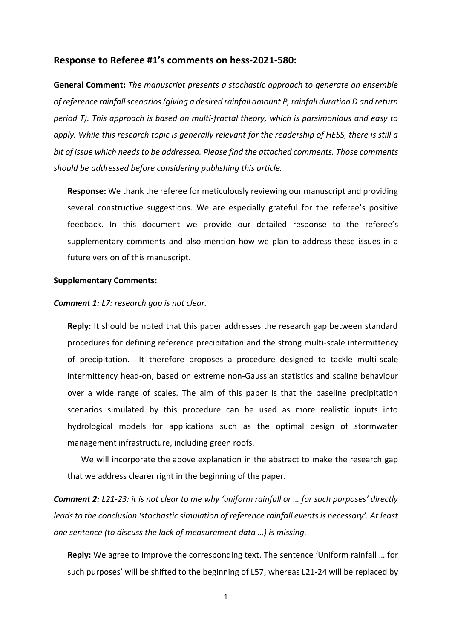## **Response to Referee #1's comments on hess-2021-580:**

**General Comment:** *The manuscript presents a stochastic approach to generate an ensemble of reference rainfall scenarios (giving a desired rainfall amount P, rainfall duration D and return period T). This approach is based on multi-fractal theory, which is parsimonious and easy to apply. While this research topic is generally relevant for the readership of HESS, there is still a bit of issue which needs to be addressed. Please find the attached comments. Those comments should be addressed before considering publishing this article.*

**Response:** We thank the referee for meticulously reviewing our manuscript and providing several constructive suggestions. We are especially grateful for the referee's positive feedback. In this document we provide our detailed response to the referee's supplementary comments and also mention how we plan to address these issues in a future version of this manuscript.

## **Supplementary Comments:**

## *Comment 1: L7: research gap is not clear.*

**Reply:** It should be noted that this paper addresses the research gap between standard procedures for defining reference precipitation and the strong multi-scale intermittency of precipitation. It therefore proposes a procedure designed to tackle multi-scale intermittency head-on, based on extreme non-Gaussian statistics and scaling behaviour over a wide range of scales. The aim of this paper is that the baseline precipitation scenarios simulated by this procedure can be used as more realistic inputs into hydrological models for applications such as the optimal design of stormwater management infrastructure, including green roofs.

We will incorporate the above explanation in the abstract to make the research gap that we address clearer right in the beginning of the paper.

*Comment 2: L21-23: it is not clear to me why 'uniform rainfall or … for such purposes' directly leads to the conclusion 'stochastic simulation of reference rainfall events is necessary'. At least one sentence (to discuss the lack of measurement data …) is missing.* 

**Reply:** We agree to improve the corresponding text. The sentence 'Uniform rainfall … for such purposes' will be shifted to the beginning of L57, whereas L21-24 will be replaced by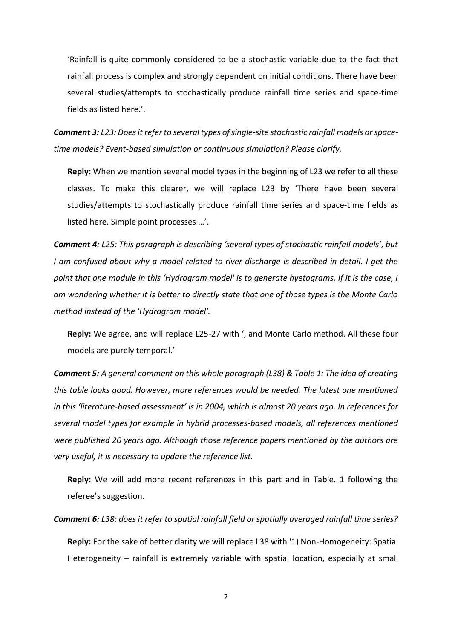'Rainfall is quite commonly considered to be a stochastic variable due to the fact that rainfall process is complex and strongly dependent on initial conditions. There have been several studies/attempts to stochastically produce rainfall time series and space-time fields as listed here.'.

*Comment 3: L23: Does it refer to several types of single-site stochastic rainfall models or spacetime models? Event-based simulation or continuous simulation? Please clarify.*

**Reply:** When we mention several model types in the beginning of L23 we refer to all these classes. To make this clearer, we will replace L23 by 'There have been several studies/attempts to stochastically produce rainfall time series and space-time fields as listed here. Simple point processes …'.

*Comment 4: L25: This paragraph is describing 'several types of stochastic rainfall models', but I am confused about why a model related to river discharge is described in detail. I get the point that one module in this 'Hydrogram model' is to generate hyetograms. If it is the case, I am wondering whether it is better to directly state that one of those types is the Monte Carlo method instead of the 'Hydrogram model'.*

**Reply:** We agree, and will replace L25-27 with ', and Monte Carlo method. All these four models are purely temporal.'

*Comment 5: A general comment on this whole paragraph (L38) & Table 1: The idea of creating this table looks good. However, more references would be needed. The latest one mentioned in this 'literature-based assessment' is in 2004, which is almost 20 years ago. In references for several model types for example in hybrid processes-based models, all references mentioned were published 20 years ago. Although those reference papers mentioned by the authors are very useful, it is necessary to update the reference list.*

**Reply:** We will add more recent references in this part and in Table. 1 following the referee's suggestion.

*Comment 6: L38: does it refer to spatial rainfall field or spatially averaged rainfall time series?* **Reply:** For the sake of better clarity we will replace L38 with '1) Non-Homogeneity: Spatial Heterogeneity – rainfall is extremely variable with spatial location, especially at small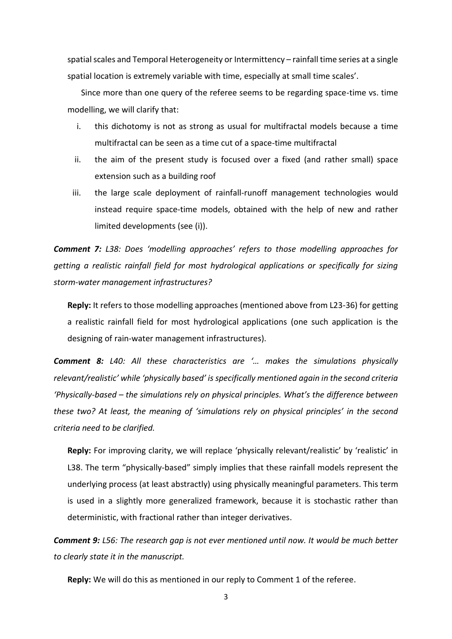spatial scales and Temporal Heterogeneity or Intermittency – rainfall time series at a single spatial location is extremely variable with time, especially at small time scales'.

Since more than one query of the referee seems to be regarding space-time vs. time modelling, we will clarify that:

- i. this dichotomy is not as strong as usual for multifractal models because a time multifractal can be seen as a time cut of a space-time multifractal
- ii. the aim of the present study is focused over a fixed (and rather small) space extension such as a building roof
- iii. the large scale deployment of rainfall-runoff management technologies would instead require space-time models, obtained with the help of new and rather limited developments (see (i)).

*Comment 7: L38: Does 'modelling approaches' refers to those modelling approaches for getting a realistic rainfall field for most hydrological applications or specifically for sizing storm-water management infrastructures?* 

**Reply:** It refers to those modelling approaches (mentioned above from L23-36) for getting a realistic rainfall field for most hydrological applications (one such application is the designing of rain-water management infrastructures).

*Comment 8: L40: All these characteristics are '… makes the simulations physically relevant/realistic' while 'physically based' is specifically mentioned again in the second criteria 'Physically-based – the simulations rely on physical principles. What's the difference between these two? At least, the meaning of 'simulations rely on physical principles' in the second criteria need to be clarified.*

**Reply:** For improving clarity, we will replace 'physically relevant/realistic' by 'realistic' in L38. The term "physically-based" simply implies that these rainfall models represent the underlying process (at least abstractly) using physically meaningful parameters. This term is used in a slightly more generalized framework, because it is stochastic rather than deterministic, with fractional rather than integer derivatives.

*Comment 9: L56: The research gap is not ever mentioned until now. It would be much better to clearly state it in the manuscript.*

**Reply:** We will do this as mentioned in our reply to Comment 1 of the referee.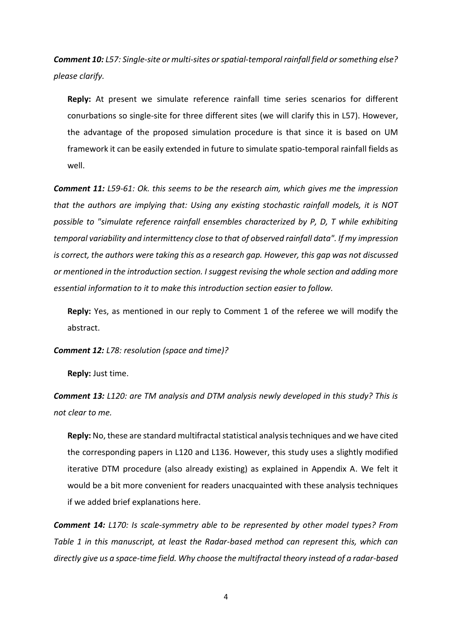*Comment 10: L57: Single-site or multi-sites or spatial-temporal rainfall field or something else? please clarify.*

**Reply:** At present we simulate reference rainfall time series scenarios for different conurbations so single-site for three different sites (we will clarify this in L57). However, the advantage of the proposed simulation procedure is that since it is based on UM framework it can be easily extended in future to simulate spatio-temporal rainfall fields as well.

*Comment 11: L59-61: Ok. this seems to be the research aim, which gives me the impression that the authors are implying that: Using any existing stochastic rainfall models, it is NOT possible to "simulate reference rainfall ensembles characterized by P, D, T while exhibiting temporal variability and intermittency close to that of observed rainfall data". If my impression is correct, the authors were taking this as a research gap. However, this gap was not discussed or mentioned in the introduction section. I suggest revising the whole section and adding more essential information to it to make this introduction section easier to follow.*

**Reply:** Yes, as mentioned in our reply to Comment 1 of the referee we will modify the abstract.

*Comment 12: L78: resolution (space and time)?* 

**Reply:** Just time.

*Comment 13: L120: are TM analysis and DTM analysis newly developed in this study? This is not clear to me.* 

**Reply:** No, these are standard multifractal statistical analysis techniques and we have cited the corresponding papers in L120 and L136. However, this study uses a slightly modified iterative DTM procedure (also already existing) as explained in Appendix A. We felt it would be a bit more convenient for readers unacquainted with these analysis techniques if we added brief explanations here.

*Comment 14: L170: Is scale-symmetry able to be represented by other model types? From Table 1 in this manuscript, at least the Radar-based method can represent this, which can directly give us a space-time field. Why choose the multifractal theory instead of a radar-based* 

4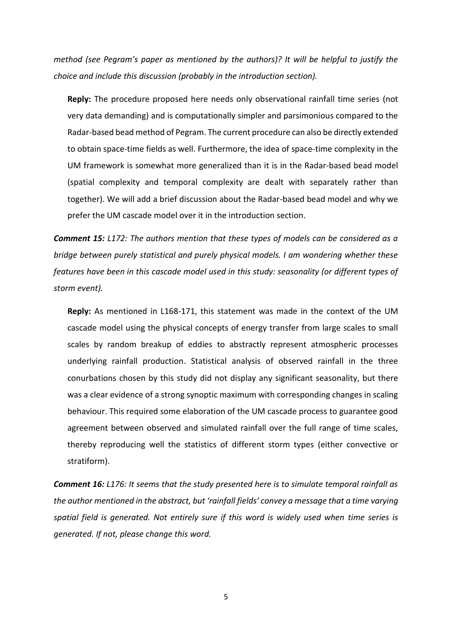*method (see Pegram's paper as mentioned by the authors)? It will be helpful to justify the choice and include this discussion (probably in the introduction section).* 

**Reply:** The procedure proposed here needs only observational rainfall time series (not very data demanding) and is computationally simpler and parsimonious compared to the Radar-based bead method of Pegram. The current procedure can also be directly extended to obtain space-time fields as well. Furthermore, the idea of space-time complexity in the UM framework is somewhat more generalized than it is in the Radar-based bead model (spatial complexity and temporal complexity are dealt with separately rather than together). We will add a brief discussion about the Radar-based bead model and why we prefer the UM cascade model over it in the introduction section.

*Comment 15: L172: The authors mention that these types of models can be considered as a bridge between purely statistical and purely physical models. I am wondering whether these features have been in this cascade model used in this study: seasonality (or different types of storm event).*

**Reply:** As mentioned in L168-171, this statement was made in the context of the UM cascade model using the physical concepts of energy transfer from large scales to small scales by random breakup of eddies to abstractly represent atmospheric processes underlying rainfall production. Statistical analysis of observed rainfall in the three conurbations chosen by this study did not display any significant seasonality, but there was a clear evidence of a strong synoptic maximum with corresponding changes in scaling behaviour. This required some elaboration of the UM cascade process to guarantee good agreement between observed and simulated rainfall over the full range of time scales, thereby reproducing well the statistics of different storm types (either convective or stratiform).

*Comment 16: L176: It seems that the study presented here is to simulate temporal rainfall as the author mentioned in the abstract, but 'rainfall fields' convey a message that a time varying spatial field is generated. Not entirely sure if this word is widely used when time series is generated. If not, please change this word.*

5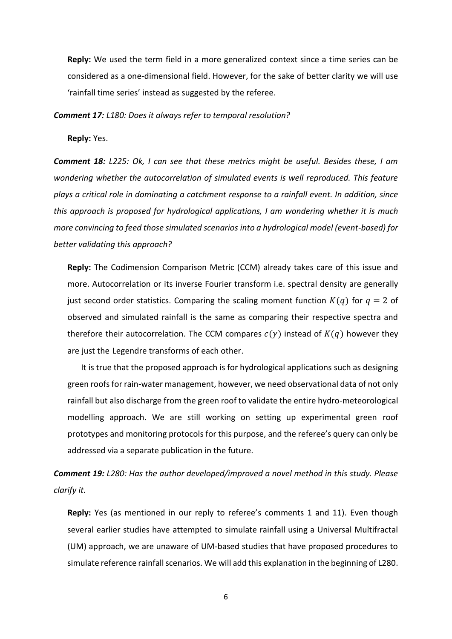**Reply:** We used the term field in a more generalized context since a time series can be considered as a one-dimensional field. However, for the sake of better clarity we will use 'rainfall time series' instead as suggested by the referee.

*Comment 17: L180: Does it always refer to temporal resolution?*

**Reply:** Yes.

*Comment 18: L225: Ok, I can see that these metrics might be useful. Besides these, I am wondering whether the autocorrelation of simulated events is well reproduced. This feature plays a critical role in dominating a catchment response to a rainfall event. In addition, since this approach is proposed for hydrological applications, I am wondering whether it is much more convincing to feed those simulated scenarios into a hydrological model (event-based) for better validating this approach?*

**Reply:** The Codimension Comparison Metric (CCM) already takes care of this issue and more. Autocorrelation or its inverse Fourier transform i.e. spectral density are generally just second order statistics. Comparing the scaling moment function  $K(q)$  for  $q = 2$  of observed and simulated rainfall is the same as comparing their respective spectra and therefore their autocorrelation. The CCM compares  $c(y)$  instead of  $K(q)$  however they are just the Legendre transforms of each other.

It is true that the proposed approach is for hydrological applications such as designing green roofs for rain-water management, however, we need observational data of not only rainfall but also discharge from the green roof to validate the entire hydro-meteorological modelling approach. We are still working on setting up experimental green roof prototypes and monitoring protocols for this purpose, and the referee's query can only be addressed via a separate publication in the future.

*Comment 19: L280: Has the author developed/improved a novel method in this study. Please clarify it.*

**Reply:** Yes (as mentioned in our reply to referee's comments 1 and 11). Even though several earlier studies have attempted to simulate rainfall using a Universal Multifractal (UM) approach, we are unaware of UM-based studies that have proposed procedures to simulate reference rainfall scenarios. We will add this explanation in the beginning of L280.